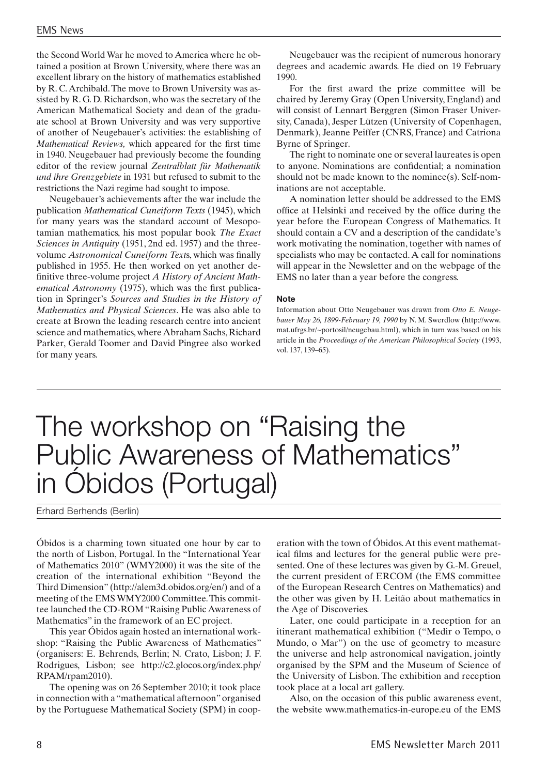the Second World War he moved to America where he obtained a position at Brown University, where there was an excellent library on the history of mathematics established by R. C. Archibald. The move to Brown University was assisted by R. G. D. Richardson, who was the secretary of the American Mathematical Society and dean of the graduate school at Brown University and was very supportive of another of Neugebauer's activities: the establishing of *Mathematical Reviews,* which appeared for the first time in 1940. Neugebauer had previously become the founding editor of the review journal *Zentralblatt für Mathematik und ihre Grenzgebiete* in 1931 but refused to submit to the restrictions the Nazi regime had sought to impose.

Neugebauer's achievements after the war include the publication *Mathematical Cuneiform Texts* (1945), which for many years was the standard account of Mesopotamian mathematics, his most popular book *The Exact Sciences in Antiquity* (1951, 2nd ed. 1957) and the threevolume *Astronomical Cuneiform Text*s, which was finally published in 1955. He then worked on yet another definitive three-volume project *A History of Ancient Mathematical Astronomy* (1975), which was the first publication in Springer's *Sources and Studies in the History of Mathematics and Physical Sciences*. He was also able to create at Brown the leading research centre into ancient science and mathematics, where Abraham Sachs, Richard Parker, Gerald Toomer and David Pingree also worked for many years.

Neugebauer was the recipient of numerous honorary degrees and academic awards. He died on 19 February 1990.

For the first award the prize committee will be chaired by Jeremy Gray (Open University, England) and will consist of Lennart Berggren (Simon Fraser University, Canada), Jesper Lützen (University of Copenhagen, Denmark), Jeanne Peiffer (CNRS, France) and Catriona Byrne of Springer.

The right to nominate one or several laureates is open to anyone. Nominations are confidential; a nomination should not be made known to the nominee(s). Self-nominations are not acceptable.

A nomination letter should be addressed to the EMS office at Helsinki and received by the office during the year before the European Congress of Mathematics. It should contain a CV and a description of the candidate's work motivating the nomination, together with names of specialists who may be contacted. A call for nominations will appear in the Newsletter and on the webpage of the EMS no later than a year before the congress.

#### **Note**

Information about Otto Neugebauer was drawn from *Otto E. Neugebauer May 26, 1899-February 19, 1990* by N. M. Swerdlow (http://www. mat.ufrgs.br/~portosil/neugebau.html), which in turn was based on his article in the *Proceedings of the American Philosophical Society* (1993, vol. 137, 139–65).

# The workshop on "Raising the Public Awareness of Mathematics" in Óbidos (Portugal)

Erhard Berhends (Berlin)

Óbidos is a charming town situated one hour by car to the north of Lisbon, Portugal. In the "International Year of Mathematics 2010" (WMY2000) it was the site of the creation of the international exhibition "Beyond the Third Dimension" (http://alem3d.obidos.org/en/) and of a meeting of the EMS WMY2000 Committee. This committee launched the CD-ROM "Raising Public Awareness of Mathematics" in the framework of an EC project.

This year Óbidos again hosted an international workshop: "Raising the Public Awareness of Mathematics" (organisers: E. Behrends, Berlin; N. Crato, Lisbon; J. F. Rodrigues, Lisbon; see http://c2.glocos.org/index.php/ RPAM/rpam2010).

The opening was on 26 September 2010; it took place in connection with a "mathematical afternoon" organised by the Portuguese Mathematical Society (SPM) in coop-

eration with the town of Óbidos. At this event mathematical films and lectures for the general public were presented. One of these lectures was given by G.-M. Greuel, the current president of ERCOM (the EMS committee of the European Research Centres on Mathematics) and the other was given by H. Leitão about mathematics in the Age of Discoveries.

Later, one could participate in a reception for an itinerant mathematical exhibition ("Medir o Tempo, o Mundo, o Mar") on the use of geometry to measure the universe and help astronomical navigation, jointly organised by the SPM and the Museum of Science of the University of Lisbon. The exhibition and reception took place at a local art gallery.

Also, on the occasion of this public awareness event, the website www.mathematics-in-europe.eu of the EMS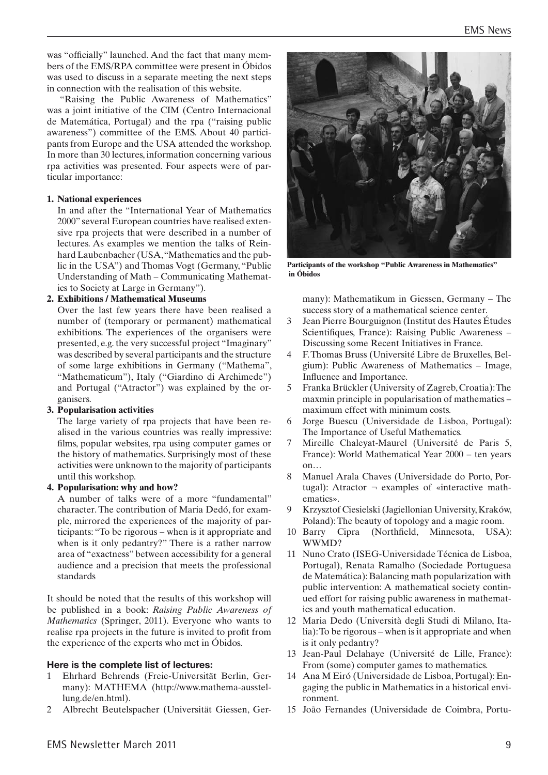was "officially" launched. And the fact that many members of the EMS/RPA committee were present in Óbidos was used to discuss in a separate meeting the next steps in connection with the realisation of this website.

"Raising the Public Awareness of Mathematics" was a joint initiative of the CIM (Centro Internacional de Matemática, Portugal) and the rpa ("raising public awareness") committee of the EMS. About 40 participants from Europe and the USA attended the workshop. In more than 30 lectures, information concerning various rpa activities was presented. Four aspects were of particular importance:

### **1. National experiences**

In and after the "International Year of Mathematics 2000" several European countries have realised extensive rpa projects that were described in a number of lectures. As examples we mention the talks of Reinhard Laubenbacher (USA, "Mathematics and the public in the USA") and Thomas Vogt (Germany, "Public Understanding of Math – Communicating Mathematics to Society at Large in Germany").

### **2. Exhibitions / Mathematical Museums**

Over the last few years there have been realised a number of (temporary or permanent) mathematical exhibitions. The experiences of the organisers were presented, e.g. the very successful project "Imaginary" was described by several participants and the structure of some large exhibitions in Germany ("Mathema", "Mathematicum"), Italy ("Giardino di Archimede") and Portugal ("Atractor") was explained by the organisers.

# **3. Popularisation activities**

The large variety of rpa projects that have been realised in the various countries was really impressive: films, popular websites, rpa using computer games or the history of mathematics. Surprisingly most of these activities were unknown to the majority of participants until this workshop.

#### **4. Popularisation: why and how?**

A number of talks were of a more "fundamental" character. The contribution of Maria Dedó, for example, mirrored the experiences of the majority of participants: "To be rigorous – when is it appropriate and when is it only pedantry?" There is a rather narrow area of "exactness" between accessibility for a general audience and a precision that meets the professional standards

It should be noted that the results of this workshop will be published in a book: *Raising Public Awareness of Mathematics* (Springer, 2011). Everyone who wants to realise rpa projects in the future is invited to profit from the experience of the experts who met in Óbidos.

# **Here is the complete list of lectures:**

- 1 Ehrhard Behrends (Freie-Universität Berlin, Germany): MATHEMA (http://www.mathema-ausstellung.de/en.html).
- 2 Albrecht Beutelspacher (Universität Giessen, Ger-



**Participants of the workshop "Public Awareness in Mathematics" in Óbidos**

many): Mathematikum in Giessen, Germany – The success story of a mathematical science center.

- 3 Jean Pierre Bourguignon (Institut des Hautes Études Scientifiques, France): Raising Public Awareness – Discussing some Recent Initiatives in France.
- 4 F. Thomas Bruss (Université Libre de Bruxelles, Belgium): Public Awareness of Mathematics – Image, Influence and Importance.
- 5 Franka Brückler (University of Zagreb, Croatia): The maxmin principle in popularisation of mathematics – maximum effect with minimum costs.
- 6 Jorge Buescu (Universidade de Lisboa, Portugal): The Importance of Useful Mathematics.
- 7 Mireille Chaleyat-Maurel (Université de Paris 5, France): World Mathematical Year 2000 – ten years on…
- 8 Manuel Arala Chaves (Universidade do Porto, Portugal): Atractor  $\neg$  examples of «interactive mathematics».
- 9 Krzysztof Ciesielski (Jagiellonian University, Kraków, Poland): The beauty of topology and a magic room.
- 10 Barry Cipra (Northfield, Minnesota, USA): WWMD?
- 11 Nuno Crato (ISEG-Universidade Técnica de Lisboa, Portugal), Renata Ramalho (Sociedade Portuguesa de Matemática): Balancing math popularization with public intervention: A mathematical society continued effort for raising public awareness in mathematics and youth mathematical education.
- 12 Maria Dedo (Università degli Studi di Milano, Italia): To be rigorous – when is it appropriate and when is it only pedantry?
- 13 Jean-Paul Delahaye (Université de Lille, France): From (some) computer games to mathematics.
- 14 Ana M Eiró (Universidade de Lisboa, Portugal): Engaging the public in Mathematics in a historical environment.
- 15 João Fernandes (Universidade de Coimbra, Portu-